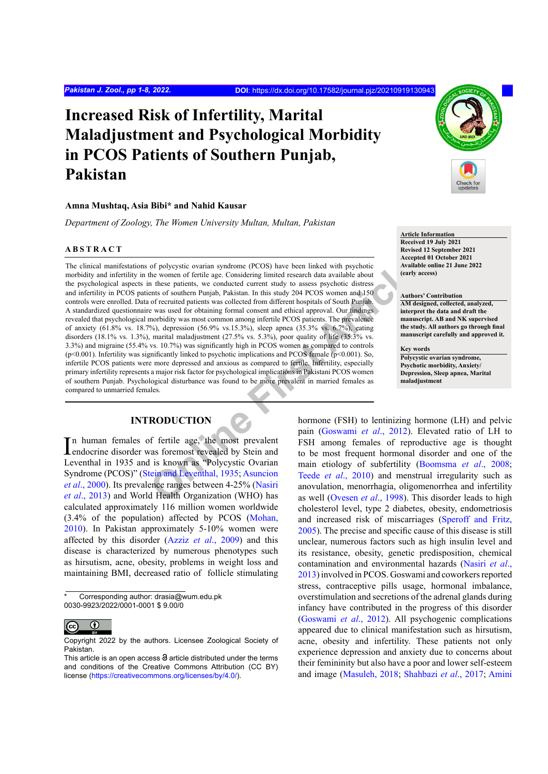# **Increased Risk of Infertility, Marital Maladjustment and Psychological Morbidity in PCOS Patients of Southern Punjab, Pakistan**

#### **Amna Mushtaq, Asia Bibi\* and Nahid Kausar**

*Department of Zoology, The Women University Multan, Multan, Pakistan*

#### **ABSTRACT**

of polycystic ovarian syndrome (PCOS) have been linked with psychotic<br>
the women of fertiel age. Considering limited research data available about<br>
in these patients, we conducted current study to assess psychotic distress The clinical manifestations of polycystic ovarian syndrome (PCOS) have been linked with psychotic morbidity and infertility in the women of fertile age. Considering limited research data available about the psychological aspects in these patients, we conducted current study to assess psychotic distress and infertility in PCOS patients of southern Punjab, Pakistan. In this study 204 PCOS women and 150 controls were enrolled. Data of recruited patients was collected from different hospitals of South Punjab. A standardized questionnaire was used for obtaining formal consent and ethical approval. Our findings revealed that psychological morbidity was most common among infertile PCOS patients. The prevalence of anxiety (61.8% vs. 18.7%), depression (56.9% vs.15.3%), sleep apnea (35.3% vs. 6.7%), eating disorders (18.1% vs. 1.3%), marital maladjustment (27.5% vs. 5.3%), poor quality of life (35.3% vs. 3.3%) and migraine (55.4% vs. 10.7%) was significantly high in PCOS women as compared to controls (p<0.001). Infertility was significantly linked to psychotic implications and PCOS female (p<0.001). So, infertile PCOS patients were more depressed and anxious as compared to fertile. Infertility, especially primary infertility represents a major risk factor for psychological implications in Pakistani PCOS women of southern Punjab. Psychological disturbance was found to be more prevalent in married females as compared to unmarried females.

## **INTRODUCTION**

In human females of fertile age, the most prevalent<br>endocrine disorder was foremost revealed by Stein and endocrine disorder was foremost revealed by Stein and Leventhal in 1935 and is known as "Polycystic Ovarian Syndrome (PCOS)" (Stein and Leventhal, 1935; Asuncion *et al*., 2000). Its prevalence ranges between 4-25% (Nasiri *et al*[., 2013\)](#page-6-0) and World Health Organization (WHO) has calculated approximately 116 million women worldwide (3.4% of the population) affected by PCOS [\(Mohan,](#page-6-1) [2010\)](#page-6-1). In Pakistan approximately 5-10% women were affected by this disorder (Azziz *et al*[., 2009](#page-5-0)) and this disease is characterized by numerous phenotypes such as hirsutism, acne, obesity, problems in weight loss and maintaining BMI, decreased ratio of follicle stimulating

Corresponding author: drasia@wum.edu.pk 0030-9923/2022/0001-0001 \$ 9.00/0



Copyright 2022 by the authors. Licensee Zoological Society of Pakistan.



**Article Information Received 19 July 2021 Revised 12 September 2021 Accepted 01 October 2021 Available online 21 June 2022 (early access)**

#### **Authors' Contribution**

**AM designed, collected, analyzed, interpret the data and draft the manuscript. AB and NK supervised the study. All authors go through final manuscript carefully and approved it.**

**Key words Polycystic ovarian syndrome, Psychotic morbidity, Anxiety/ Depression, Sleep apnea, Marital maladjustment**

hormone (FSH) to lentinizing hormone (LH) and pelvic pain (Goswami *et al*., 2012). Elevated ratio of LH to FSH among females of reproductive age is thought to be most frequent hormonal disorder and one of the main etiology of subfertility ([Boomsma](#page-5-1) *et al*., 2008; Teede *et al*., 2010) and menstrual irregularity such as anovulation, menorrhagia, oligomenorrhea and infertility as well (Ovesen *et al*., 1998). This disorder leads to high cholesterol level, type 2 diabetes, obesity, endometriosis and increased risk of miscarriages (Speroff and Fritz, 2005). The precise and specific cause of this disease is still unclear, numerous factors such as high insulin level and its resistance, obesity, genetic predisposition, chemical contamination and environmental hazards ([Nasiri](#page-6-0) *et al*., [2013\)](#page-6-0) involved in PCOS. Goswami and coworkers reported stress, contraceptive pills usage, hormonal imbalance, overstimulation and secretions of the adrenal glands during infancy have contributed in the progress of this disorder [\(Goswami](#page-6-2) *et al*., 2012). All psychogenic complications appeared due to clinical manifestation such as hirsutism, acne, obesity and infertility. These patients not only experience depression and anxiety due to concerns about their femininity but also have a poor and lower self-esteem and image ([Masuleh, 2018;](#page-6-3) Shahbazi *et al*., 2017; [Amini](#page-4-0)

This article is an open access  $\Theta$  article distributed under the terms and conditions of the Creative Commons Attribution (CC BY) license (<https://creativecommons.org/licenses/by/4.0/>).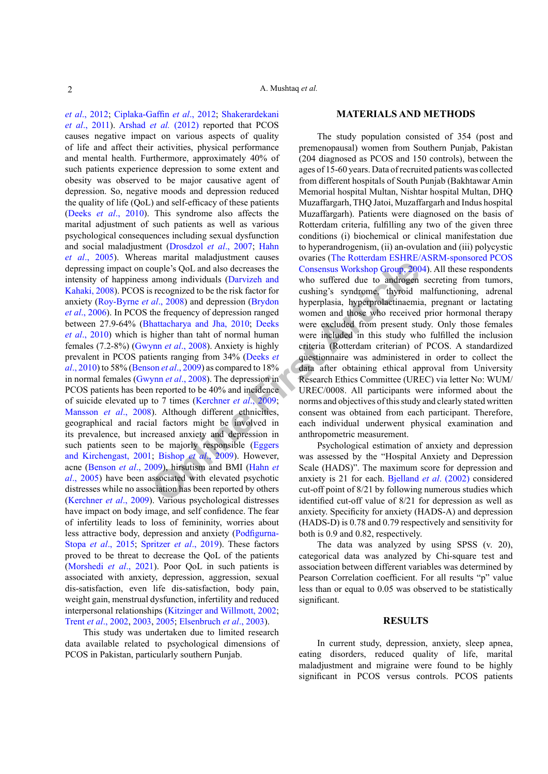**Onitively** SQL and also decreases the Consensus Workshop Group, 200 among individuals (Darvizeh and who suffered due to androgen secognized to be the risk factor for cushing's syndrome, thyroid *al.*, 2008) and depressi *et al*[., 2012;](#page-4-0) [Ciplaka-Gaffin](#page-5-2) *et al*., 2012; Shakerardekani *et al*., 2011). [Arshad](#page-4-1) *et al.* (2012) reported that PCOS causes negative impact on various aspects of quality of life and affect their activities, physical performance and mental health. Furthermore, approximately 40% of such patients experience depression to some extent and obesity was observed to be major causative agent of depression. So, negative moods and depression reduced the quality of life (QoL) and self-efficacy of these patients (Deeks *et al*[., 2010](#page-5-3)). This syndrome also affects the marital adjustment of such patients as well as various psychological consequences including sexual dysfunction and social maladjustment (Drosdzol *et al*., 2007; [Hahn](#page-6-4) *et al*[., 2005\)](#page-6-4). Whereas marital maladjustment causes depressing impact on couple's QoL and also decreases the intensity of happiness among individuals (Darvizeh and [Kahaki, 2008](#page-5-4)). PCOS is recognized to be the risk factor for anxiety (Roy-Byrne *et al*., 2008) and depression (Brydon *et al*[., 2006\)](#page-5-5). In PCOS the frequency of depression ranged between 27.9-64% (Bhattacharya and Jha, 2010; Deeks *et al*[., 2010\)](#page-5-3) which is higher than taht of normal human females (7.2-8%) (Gwynn *et al*., 2008). Anxiety is highly prevalent in PCOS patients ranging from 34% (Deeks *et al*[., 2010](#page-5-3)) to 58% (Benson *et al*., 2009) as compared to 18% in normal females (Gwynn *et al*., 2008). The depression in PCOS patients has been reported to be 40% and incidence of suicide elevated up to 7 times (Kerchner *et al*., 2009; Mansson *et al*., 2008). Although different ethnicities, geographical and racial factors might be involved in its prevalence, but increased anxiety and depression in such patients seen to be majorly responsible (Eggers [and Kirchengast, 2001;](#page-5-8) Bishop *et al*., 2009). However, acne ([Benson](#page-5-7) *et al*., 2009), hirsutism and BMI (Hahn *et al*[., 2005](#page-6-4)) have been associated with elevated psychotic distresses while no association has been reported by others [\(Kerchner](#page-6-6) *et al*., 2009). Various psychological distresses have impact on body image, and self confidence. The fear of infertility leads to loss of femininity, worries about less attractive body, depression and anxiety ([Podfigurna-](#page-6-7)Stopa *et al*[., 2015](#page-6-7); Spritzer *et al*., 2019). These factors proved to be threat to decrease the QoL of the patients [\(Morshedi](#page-6-8) *et al*., 2021). Poor QoL in such patients is associated with anxiety, depression, aggression, sexual dis-satisfaction, even life dis-satisfaction, body pain, weight gain, menstrual dysfunction, infertility and reduced interpersonal relationships [\(Kitzinger and Willmott, 2002](#page-6-9); Trent *et al*., 2002, 2003, 2005; [Elsenbruch](#page-5-10) *et al*., 2003).

This study was undertaken due to limited research data available related to psychological dimensions of PCOS in Pakistan, particularly southern Punjab.

#### **MATERIALS AND METHODS**

The study population consisted of 354 (post and premenopausal) women from Southern Punjab, Pakistan (204 diagnosed as PCOS and 150 controls), between the ages of 15-60 years. Data of recruited patients was collected from different hospitals of South Punjab (Bakhtawar Amin Memorial hospital Multan, Nishtar hospital Multan, DHQ Muzaffargarh, THQ Jatoi, Muzaffargarh and Indus hospital Muzaffargarh). Patients were diagnosed on the basis of Rotterdam criteria, fulfilling any two of the given three conditions (i) biochemical or clinical manifestation due to hyperandrogenism, (ii) an-ovulation and (iii) polycystic ovaries ([The Rotterdam ESHRE/ASRM-sponsored PCOS](#page-5-11) Consensus Workshop Group, 2004). All these respondents who suffered due to androgen secreting from tumors, cushing's syndrome, thyroid malfunctioning, adrenal hyperplasia, hyperprolactinaemia, pregnant or lactating women and those who received prior hormonal therapy were excluded from present study. Only those females were included in this study who fulfilled the inclusion criteria (Rotterdam criterian) of PCOS. A standardized questionnaire was administered in order to collect the data after obtaining ethical approval from University Research Ethics Committee (UREC) via letter No: WUM/ UREC/0008. All participants were informed about the norms and objectives of this study and clearly stated written consent was obtained from each participant. Therefore, each individual underwent physical examination and anthropometric measurement.

Psychological estimation of anxiety and depression was assessed by the "Hospital Anxiety and Depression Scale (HADS)". The maximum score for depression and anxiety is 21 for each. Bjelland *et al*. (2002) considered cut-off point of 8/21 by following numerous studies which identified cut-off value of 8/21 for depression as well as anxiety. Specificity for anxiety (HADS-A) and depression (HADS-D) is 0.78 and 0.79 respectively and sensitivity for both is 0.9 and 0.82, respectively.

The data was analyzed by using SPSS (v. 20), categorical data was analyzed by Chi-square test and association between different variables was determined by Pearson Correlation coefficient. For all results "p" value less than or equal to 0.05 was observed to be statistically significant.

#### **RESULTS**

In current study, depression, anxiety, sleep apnea, eating disorders, reduced quality of life, marital maladjustment and migraine were found to be highly significant in PCOS versus controls. PCOS patients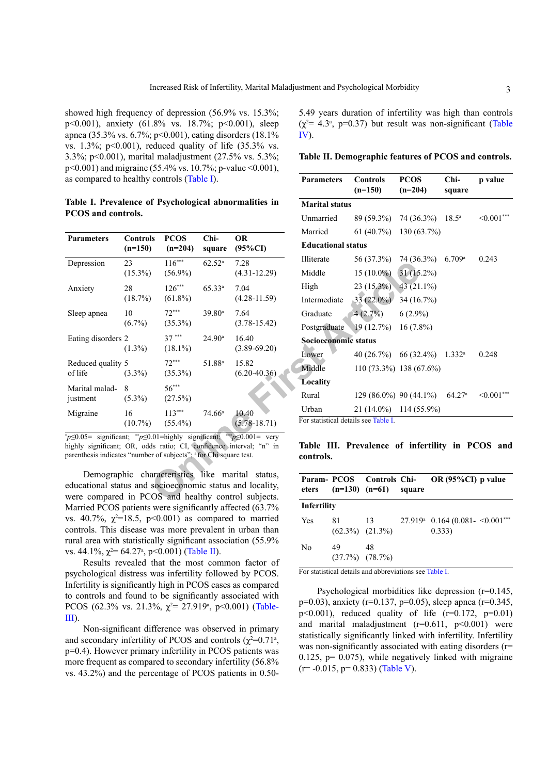showed high frequency of depression (56.9% vs. 15.3%; p<0.001), anxiety (61.8% vs. 18.7%; p<0.001), sleep apnea (35.3% vs. 6.7%; p<0.001), eating disorders (18.1% vs.  $1.3\%$ ; p<0.001), reduced quality of life  $(35.3\%$  vs. 3.3%; p<0.001), marital maladjustment (27.5% vs. 5.3%; p<0.001) and migraine (55.4% vs. 10.7%; p-value ˂0.001), as compared to healthy controls (Table I).

**Table I. Prevalence of Psychological abnormalities in PCOS and controls.**

| <b>Educational status</b><br>$(95\%CI)$<br>$(n=150)$<br>$(n=204)$<br>square<br>Illiterate<br>56 (37.3%)<br>$116***$<br>7.28<br>23<br>$62.52^{\rm a}$<br>Depression<br>Middle<br>$15(10.0\%)$<br>$(4.31 - 12.29)$<br>$(15.3\%)$<br>$(56.9\%)$<br>$23(15.3\%)$<br>High<br>$126***$<br>$65.33^{a}$<br>7.04<br>28<br>Anxiety<br>(18.7%)<br>$(61.8\%)$<br>$(4.28 - 11.59)$<br>$33(22.0\%)$<br>Intermediate<br>$72***$<br>39.80 <sup>a</sup><br>7.64<br>10<br>4(2.7%)<br>Sleep apnea<br>Graduate<br>$(6.7\%)$<br>$(35.3\%)$<br>$(3.78 - 15.42)$<br>Postgraduate<br>19(12.7%)<br>$37***$<br>$24.90^{\rm a}$<br>Eating disorders 2<br>16.40<br>Socioeconomic status<br>$(1.3\%)$<br>$(18.1\%)$<br>$(3.89 - 69.20)$<br>40 (26.7%) 66 (32)<br>Lower<br>$72***$<br>51.88 <sup>a</sup><br>Reduced quality 5<br>15.82<br>Middle<br>110 (73.3%) 138 (6<br>$(6.20 - 40.36)$<br>of life<br>$(3.3\%)$<br>$(35.3\%)$<br>Locality<br>$56***$<br>Marital malad-<br>8<br>129 (86.0%) 90 (44<br>Rural<br>$(5.3\%)$<br>(27.5%)<br>justment<br>$21(14.0\%)$ 114 (5)<br>Urban<br>$113***$<br>$74.66^{\rm a}$<br>10.40<br>Migraine<br>16<br>For statistical details see Table I.<br>$(5.78 - 18.71)$<br>$(10.7\%)$<br>$(55.4\%)$<br>$p \leq 0.05$ = significant; $\sqrt[*]{p} \leq 0.01$ = highly significant; $\sqrt[*]{p} \leq 0.001$ = very<br>Table III. Prevalence of inf<br>highly significant; OR, odds ratio; CI, confidence interval; "n" in<br>parenthesis indicates "number of subjects"; <sup>a</sup> for Chi square test.<br>controls.<br>Demographic characteristics like marital status,<br>Param-PCOS<br><b>Controls Chi-</b><br>educational status and socioeconomic status and locality,<br>$(n=130)$<br>$(n=61)$<br>eters<br>were compared in PCOS and healthy control subjects. |                   |                 |             |      | Married | $61(40.7\%)$ 130 (6 |  |         |  |  |
|---------------------------------------------------------------------------------------------------------------------------------------------------------------------------------------------------------------------------------------------------------------------------------------------------------------------------------------------------------------------------------------------------------------------------------------------------------------------------------------------------------------------------------------------------------------------------------------------------------------------------------------------------------------------------------------------------------------------------------------------------------------------------------------------------------------------------------------------------------------------------------------------------------------------------------------------------------------------------------------------------------------------------------------------------------------------------------------------------------------------------------------------------------------------------------------------------------------------------------------------------------------------------------------------------------------------------------------------------------------------------------------------------------------------------------------------------------------------------------------------------------------------------------------------------------------------------------------------------------------------------------------------------------------------------------------------------------------------------------------------------------------------------|-------------------|-----------------|-------------|------|---------|---------------------|--|---------|--|--|
|                                                                                                                                                                                                                                                                                                                                                                                                                                                                                                                                                                                                                                                                                                                                                                                                                                                                                                                                                                                                                                                                                                                                                                                                                                                                                                                                                                                                                                                                                                                                                                                                                                                                                                                                                                           | <b>Parameters</b> | <b>Controls</b> | <b>PCOS</b> | Chi- | OR      |                     |  |         |  |  |
|                                                                                                                                                                                                                                                                                                                                                                                                                                                                                                                                                                                                                                                                                                                                                                                                                                                                                                                                                                                                                                                                                                                                                                                                                                                                                                                                                                                                                                                                                                                                                                                                                                                                                                                                                                           |                   |                 |             |      |         |                     |  | 74 (36  |  |  |
|                                                                                                                                                                                                                                                                                                                                                                                                                                                                                                                                                                                                                                                                                                                                                                                                                                                                                                                                                                                                                                                                                                                                                                                                                                                                                                                                                                                                                                                                                                                                                                                                                                                                                                                                                                           |                   |                 |             |      |         |                     |  | 31(15   |  |  |
|                                                                                                                                                                                                                                                                                                                                                                                                                                                                                                                                                                                                                                                                                                                                                                                                                                                                                                                                                                                                                                                                                                                                                                                                                                                                                                                                                                                                                                                                                                                                                                                                                                                                                                                                                                           |                   |                 |             |      |         |                     |  | 43(21)  |  |  |
|                                                                                                                                                                                                                                                                                                                                                                                                                                                                                                                                                                                                                                                                                                                                                                                                                                                                                                                                                                                                                                                                                                                                                                                                                                                                                                                                                                                                                                                                                                                                                                                                                                                                                                                                                                           |                   |                 |             |      |         |                     |  | 34 (16) |  |  |
|                                                                                                                                                                                                                                                                                                                                                                                                                                                                                                                                                                                                                                                                                                                                                                                                                                                                                                                                                                                                                                                                                                                                                                                                                                                                                                                                                                                                                                                                                                                                                                                                                                                                                                                                                                           |                   |                 |             |      |         |                     |  | 6(2.99) |  |  |
|                                                                                                                                                                                                                                                                                                                                                                                                                                                                                                                                                                                                                                                                                                                                                                                                                                                                                                                                                                                                                                                                                                                                                                                                                                                                                                                                                                                                                                                                                                                                                                                                                                                                                                                                                                           |                   |                 |             |      |         |                     |  | 16(7.8) |  |  |
|                                                                                                                                                                                                                                                                                                                                                                                                                                                                                                                                                                                                                                                                                                                                                                                                                                                                                                                                                                                                                                                                                                                                                                                                                                                                                                                                                                                                                                                                                                                                                                                                                                                                                                                                                                           |                   |                 |             |      |         |                     |  |         |  |  |
|                                                                                                                                                                                                                                                                                                                                                                                                                                                                                                                                                                                                                                                                                                                                                                                                                                                                                                                                                                                                                                                                                                                                                                                                                                                                                                                                                                                                                                                                                                                                                                                                                                                                                                                                                                           |                   |                 |             |      |         |                     |  |         |  |  |
|                                                                                                                                                                                                                                                                                                                                                                                                                                                                                                                                                                                                                                                                                                                                                                                                                                                                                                                                                                                                                                                                                                                                                                                                                                                                                                                                                                                                                                                                                                                                                                                                                                                                                                                                                                           |                   |                 |             |      |         |                     |  |         |  |  |
|                                                                                                                                                                                                                                                                                                                                                                                                                                                                                                                                                                                                                                                                                                                                                                                                                                                                                                                                                                                                                                                                                                                                                                                                                                                                                                                                                                                                                                                                                                                                                                                                                                                                                                                                                                           |                   |                 |             |      |         |                     |  |         |  |  |
|                                                                                                                                                                                                                                                                                                                                                                                                                                                                                                                                                                                                                                                                                                                                                                                                                                                                                                                                                                                                                                                                                                                                                                                                                                                                                                                                                                                                                                                                                                                                                                                                                                                                                                                                                                           |                   |                 |             |      |         |                     |  |         |  |  |
|                                                                                                                                                                                                                                                                                                                                                                                                                                                                                                                                                                                                                                                                                                                                                                                                                                                                                                                                                                                                                                                                                                                                                                                                                                                                                                                                                                                                                                                                                                                                                                                                                                                                                                                                                                           |                   |                 |             |      |         |                     |  |         |  |  |
|                                                                                                                                                                                                                                                                                                                                                                                                                                                                                                                                                                                                                                                                                                                                                                                                                                                                                                                                                                                                                                                                                                                                                                                                                                                                                                                                                                                                                                                                                                                                                                                                                                                                                                                                                                           |                   |                 |             |      |         |                     |  |         |  |  |
|                                                                                                                                                                                                                                                                                                                                                                                                                                                                                                                                                                                                                                                                                                                                                                                                                                                                                                                                                                                                                                                                                                                                                                                                                                                                                                                                                                                                                                                                                                                                                                                                                                                                                                                                                                           |                   |                 |             |      |         |                     |  |         |  |  |
|                                                                                                                                                                                                                                                                                                                                                                                                                                                                                                                                                                                                                                                                                                                                                                                                                                                                                                                                                                                                                                                                                                                                                                                                                                                                                                                                                                                                                                                                                                                                                                                                                                                                                                                                                                           |                   |                 |             |      |         |                     |  | squar   |  |  |

Demographic characteristics like marital status, educational status and socioeconomic status and locality, were compared in PCOS and healthy control subjects. Married PCOS patients were significantly affected (63.7%) vs. 40.7%,  $\chi^2 = 18.5$ , p<0.001) as compared to married controls. This disease was more prevalent in urban than rural area with statistically significant association (55.9% vs. 44.1%,  $\chi^2$  = 64.27<sup>a</sup>, p < 0.001) (Table II).

Results revealed that the most common factor of psychological distress was infertility followed by PCOS. Infertility is significantly high in PCOS cases as compared to controls and found to be significantly associated with PCOS (62.3% vs. 21.3%,  $\chi^2$  = 27.919<sup>a</sup>, p<0.001) (Table-III).

Non-significant difference was observed in primary and secondary infertility of PCOS and controls  $(\chi^2=0.71^{\degree}$ , p=0.4). However primary infertility in PCOS patients was more frequent as compared to secondary infertility (56.8% vs. 43.2%) and the percentage of PCOS patients in 0.505.49 years duration of infertility was high than controls  $(\chi^2$  = 4.3<sup>a</sup>, p=0.37) but result was non-significant (Table IV).

**Table II. Demographic features of PCOS and controls.**

| <b>Parameters</b>         | <b>Controls</b><br>$(n=150)$ | <b>PCOS</b><br>$(n=204)$     | $Chi-$         | p value |  |
|---------------------------|------------------------------|------------------------------|----------------|---------|--|
|                           |                              |                              | square         |         |  |
| Marital status            |                              |                              |                |         |  |
| Unmarried                 | 89 (59.3%)                   | 74 (36.3%)                   | $18.5^{\circ}$ | < 0.001 |  |
| Married                   |                              | $61 (40.7\%)$ 130 $(63.7\%)$ |                |         |  |
| <b>Educational status</b> |                              |                              |                |         |  |
| Illiterate                | 56 (37.3%)                   | 74 (36.3%)                   | 6.709a         | 0.243   |  |
| Middle                    | $15(10.0\%)$                 | $31(15.2\%)$                 |                |         |  |
| High                      | $23(15.3\%)$                 | $43(21.1\%)$                 |                |         |  |
| Intermediate              | $33(22.0\%)$                 | 34 (16.7%)                   |                |         |  |
| Graduate                  | 4(2.7%)                      | $6(2.9\%)$                   |                |         |  |
| Postgraduate              | 19(12.7%)                    | $16(7.8\%)$                  |                |         |  |
| Socioeconomic status      |                              |                              |                |         |  |
| Lower                     |                              | $40(26.7%)$ 66 (32.4%)       | $1.332^a$      | 0.248   |  |
| Middle                    |                              | $110(73.3\%)$ 138 (67.6%)    |                |         |  |
| <b>Locality</b>           |                              |                              |                |         |  |
| Rural                     | 129 (86.0%) 90 (44.1%)       |                              | 64.27a         | < 0.001 |  |
| Urban                     |                              | $21(14.0\%)$ 114 (55.9%)     |                |         |  |

**Table III. Prevalence of infertility in PCOS and controls.**

| eters          |                             | Param- PCOS Controls Chi-<br>$(n=130)$ $(n=61)$ square | OR $(95\%CI)$ p value                                           |  |
|----------------|-----------------------------|--------------------------------------------------------|-----------------------------------------------------------------|--|
| Infertility    |                             |                                                        |                                                                 |  |
| <b>Yes</b>     | 81<br>$(62.3\%)$ $(21.3\%)$ | 13                                                     | $27.919^{\circ}$ 0.164 (0.081- < 0.001 <sup>***</sup><br>0.333) |  |
| N <sub>0</sub> | 49<br>$(37.7\%)$ $(78.7\%)$ | 48                                                     |                                                                 |  |

For statistical details and abbreviations see Table I.

Psychological morbidities like depression (r=0.145, p=0.03), anxiety (r=0.137, p=0.05), sleep apnea (r=0.345, p<0.001), reduced quality of life  $(r=0.172, p=0.01)$ and marital maladjustment  $(r=0.611, p<0.001)$  were statistically significantly linked with infertility. Infertility was non-significantly associated with eating disorders (r= 0.125,  $p= 0.075$ , while negatively linked with migraine  $(r=-0.015, p=0.833)$  (Table V).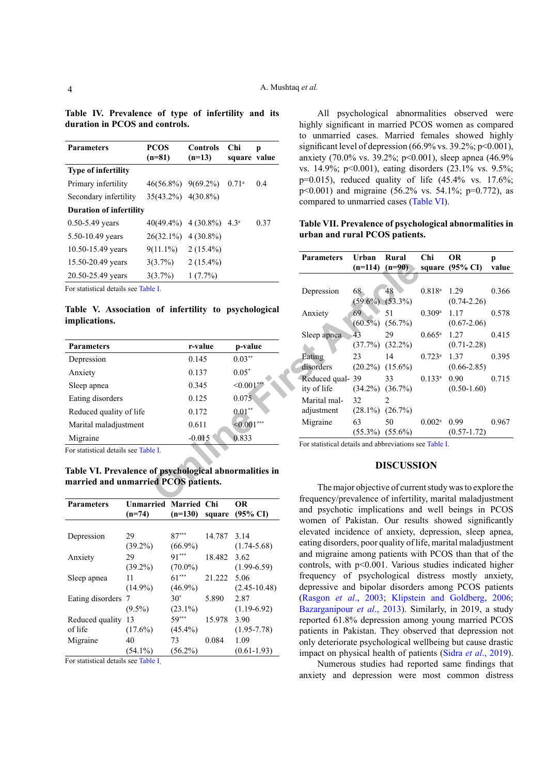| <b>Parameters</b>                   | <b>PCOS</b><br>$(n=81)$  | <b>Controls</b><br>$(n=13)$ | Chi<br>square value | р    |
|-------------------------------------|--------------------------|-----------------------------|---------------------|------|
| <b>Type of infertility</b>          |                          |                             |                     |      |
| Primary infertility                 | $46(56.8\%)$ $9(69.2\%)$ |                             | $0.71^{\circ}$      | 0.4  |
| Secondary infertility               | 35(43.2%) 4(30.8%)       |                             |                     |      |
| <b>Duration of infertility</b>      |                          |                             |                     |      |
| $0.50 - 5.49$ years                 | $40(49.4\%)$             | $4(30.8\%)$                 | $4.3^{\rm a}$       | 0.37 |
| 5.50-10.49 years                    | $26(32.1\%)$             | $4(30.8\%)$                 |                     |      |
| 10.50-15.49 years                   | $9(11.1\%)$              | $2(15.4\%)$                 |                     |      |
| 15.50-20.49 years                   | $3(3.7\%)$               | $2(15.4\%)$                 |                     |      |
| 20.50-25.49 years                   | 3(3.7%)                  | $1(7.7\%)$                  |                     |      |
| Eor etatistical details see Table I |                          |                             |                     |      |

**Table IV. Prevalence of type of infertility and its duration in PCOS and controls.**

For statistical details see Table I.

**Table V. Association of infertility to psychological implications.**

| 0.145    | $0.03***$        |
|----------|------------------|
| 0.137    | $0.05*$          |
| 0.345    | $\leq 0.001$ *** |
| 0.125    | 0.075            |
| 0.172    | $0.01**$         |
| 0.611    | $< 0.001$ ***    |
| $-0.015$ | 0.833            |
|          |                  |

For statistical details see Table I.

**Table VI. Prevalence of psychological abnormalities in married and unmarried PCOS patients.**

| <b>Parameters</b> | <b>Unmarried Married Chi</b> |            |        | <b>OR</b>           |
|-------------------|------------------------------|------------|--------|---------------------|
|                   | $(n=74)$                     | $(n=130)$  | square | $(95\% \text{ CI})$ |
|                   |                              |            |        |                     |
| Depression        | 29                           | $87***$    | 14.787 | 3.14                |
|                   | $(39.2\%)$                   | $(66.9\%)$ |        | $(1.74 - 5.68)$     |
| Anxiety           | 29                           | $91***$    | 18.482 | 3.62                |
|                   | $(39.2\%)$                   | $(70.0\%)$ |        | $(1.99-6.59)$       |
| Sleep apnea       | 11                           | $61***$    | 21.222 | 5.06                |
|                   | $(14.9\%)$                   | $(46.9\%)$ |        | $(2.45 - 10.48)$    |
| Eating disorders  | -7                           | $30*$      | 5.890  | 2.87                |
|                   | $(9.5\%)$                    | $(23.1\%)$ |        | $(1.19-6.92)$       |
| Reduced quality   | 13                           | $59***$    | 15.978 | 3.90                |
| of life           | $(17.6\%)$                   | $(45.4\%)$ |        | $(1.95 - 7.78)$     |
| Migraine          | 40                           | 73         | 0.084  | 1.09                |
|                   | $(54.1\%)$                   | $(56.2\%)$ |        | $(0.61 - 1.93)$     |

For statistical details see Table I.

All psychological abnormalities observed were highly significant in married PCOS women as compared to unmarried cases. Married females showed highly significant level of depression  $(66.9\% \text{ vs. } 39.2\%; \text{ p} < 0.001)$ , anxiety (70.0% vs. 39.2%; p<0.001), sleep apnea (46.9% vs. 14.9%; p<0.001), eating disorders (23.1% vs. 9.5%; p=0.015), reduced quality of life (45.4% vs. 17.6%; p<0.001) and migraine (56.2% vs. 54.1%; p=0.772), as compared to unmarried cases (Table VI).

#### **Table VII. Prevalence of psychological abnormalities in urban and rural PCOS patients.**

| $(11.1\%)$ | $2(15.4\%)$                   |                                   |                                                            |                     |                               |                           |                                                         |            |
|------------|-------------------------------|-----------------------------------|------------------------------------------------------------|---------------------|-------------------------------|---------------------------|---------------------------------------------------------|------------|
| $(3.7\%)$  | $2(15.4\%)$                   |                                   | <b>Parameters</b>                                          | Urban<br>$(n=114)$  | Rural<br>$(n=90)$             | Chi                       | <b>OR</b><br>square $(95\% \text{ CI})$                 | p<br>value |
| $(3.7\%)$  | $1(7.7\%)$                    |                                   |                                                            |                     |                               |                           |                                                         |            |
| le I.      |                               |                                   | Depression                                                 | 68 <sub>°</sub>     | 48<br>$(59.6\%) (53.3\%)$     | $0.818$ <sup>a</sup>      | 1.29<br>$(0.74 - 2.26)$                                 | 0.366      |
|            |                               | of infertility to psychological   | Anxiety                                                    | 69                  | 51<br>$(60.5\%) (56.7\%)$     | $0.309$ <sup>a</sup>      | 1.17<br>$(0.67 - 2.06)$                                 | 0.578      |
|            | r-value                       | p-value                           | Sleep apnea                                                | 43                  | 29<br>(37.7%) (32.2%)         | $0.665^{\rm a}$           | 1.27<br>$(0.71 - 2.28)$                                 | 0.415      |
|            | 0.145                         | $0.03**$                          | Eating                                                     | 23                  | 14                            | $0.723$ <sup>a</sup>      | 1.37                                                    | 0.395      |
|            | 0.137                         | $0.05*$                           | disorders                                                  |                     | $(20.2\%) (15.6\%)$           |                           | $(0.66 - 2.85)$                                         |            |
|            | 0.345                         | $<0.001***$                       | Reduced qual- 39<br>ity of life                            |                     | 33<br>$(34.2\%) (36.7\%)$     | $0.133^a$                 | 0.90<br>$(0.50 - 1.60)$                                 | 0.715      |
|            | 0.125                         | 0.075                             | Marital mal-                                               | 32                  | $\mathfrak{D}_{\mathfrak{p}}$ |                           |                                                         |            |
|            | 0.172                         | $0.01**$                          | adjustment                                                 | $(28.1\%) (26.7\%)$ |                               |                           |                                                         |            |
|            | 0.611                         | $< 0.001***$                      | Migraine                                                   | 63                  | 50<br>$(55.3\%) (55.6\%)$     | $0.002$ <sup>a</sup> 0.99 | $(0.57 - 1.72)$                                         | 0.967      |
| le I.      | $-0.015$                      | 0.833                             | For statistical details and abbreviations see Table I.     |                     |                               |                           |                                                         |            |
|            |                               | of psychological abnormalities in |                                                            |                     | <b>DISCUSSION</b>             |                           |                                                         |            |
|            | ed PCOS patients.<br>$\cdots$ | $\sim$ $\sim$                     | frequency/prevalence of infertility, marital maladjustment |                     |                               |                           | The major objective of current study was to explore the |            |

#### **DISCUSSION**

The major objective of current study was to explore the frequency/prevalence of infertility, marital maladjustment and psychotic implications and well beings in PCOS women of Pakistan. Our results showed significantly elevated incidence of anxiety, depression, sleep apnea, eating disorders, poor quality of life, marital maladjustment and migraine among patients with PCOS than that of the controls, with p˂0.001. Various studies indicated higher frequency of psychological distress mostly anxiety, depressive and bipolar disorders among PCOS patients [\(Rasgon](#page-6-10) *et al*., 2003; [Klipstein and Goldberg, 2006](#page-6-11); [Bazarganipour](#page-5-13) *et al*., 2013). Similarly, in 2019, a study reported 61.8% depression among young married PCOS patients in Pakistan. They observed that depression not only deteriorate psychological wellbeing but cause drastic impact on physical health of patients (Sidra *et al*., 2019).

Numerous studies had reported same findings that anxiety and depression were most common distress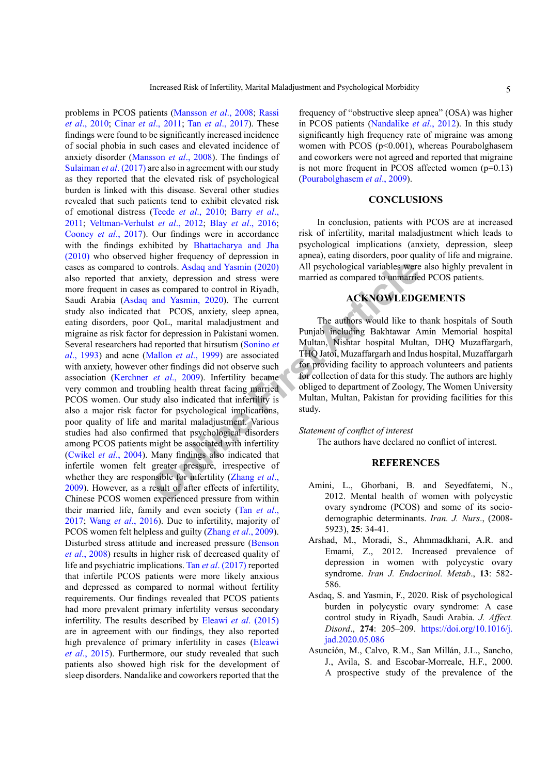Controls. Asdaq and Yasmin (2020) All psychological variables were<br>
viety, depression and stress were<br>
article as compared to control in Riyadh,<br>
and Yasmin, 2020). The current<br>
hat PCOS, anxiety, sleep apnea,<br>
QoL, marita problems in PCOS patients (Mansson *et al*., 2008; Rassi *et al*., 2010; Cinar *et al*[., 2011;](#page-5-14) Tan *et al*., 2017). These findings were found to be significantly increased incidence of social phobia in such cases and elevated incidence of anxiety disorder (Mansson *et al*., 2008). The findings of Sulaiman *et al*. (2017) are also in agreement with our study as they reported that the elevated risk of psychological burden is linked with this disease. Several other studies revealed that such patients tend to exhibit elevated risk of emotional distress (Teede *et al*., 2010; [Barry](#page-5-15) *et al*., [2011](#page-5-15); Veltman-Verhulst *et al*., 2012; Blay *et al*[., 2016](#page-5-16); [Cooney](#page-5-17) *et al*., 2017). Our findings were in accordance with the findings exhibited by [Bhattacharya and Jha](#page-5-6) [\(2010](#page-5-6)) who observed higher frequency of depression in cases as compared to controls. Asdaq and Yasmin (2020) also reported that anxiety, depression and stress were more frequent in cases as compared to control in Riyadh, Saudi Arabia [\(Asdaq and Yasmin, 2020\)](#page-4-2). The current study also indicated that PCOS, anxiety, sleep apnea, eating disorders, poor QoL, marital maladjustment and migraine as risk factor for depression in Pakistani women. Several researchers had reported that hirsutism (Sonino *et al*., 1993) and acne (Mallon *et al*., 1999) are associated with anxiety, however other findings did not observe such association (Kerchner *et al*., 2009). Infertility became very common and troubling health threat facing married PCOS women. Our study also indicated that infertility is also a major risk factor for psychological implications, poor quality of life and marital maladjustment. Various studies had also confirmed that psychological disorders among PCOS patients might be associated with infertility [\(Cwikel](#page-5-18) *et al*., 2004). Many findings also indicated that infertile women felt greater pressure, irrespective of whether they are responsible for infertility (Zhang *et al*., 2009). However, as a result of after effects of infertility, Chinese PCOS women experienced pressure from within their married life, family and even society (Tan *et al*., 2017; Wang *et al*., 2016). Due to infertility, majority of PCOS women felt helpless and guilty (Zhang *et al*., 2009). Disturbed stress attitude and increased pressure [\(Benson](#page-5-7) *et al*[., 2008\)](#page-5-7) results in higher risk of decreased quality of life and psychiatric implications. Tan *et al*. (2017) reported that infertile PCOS patients were more likely anxious and depressed as compared to normal without fertility requirements. Our findings revealed that PCOS patients had more prevalent primary infertility versus secondary infertility. The results described by Eleawi *et al*[. \(2015\)](#page-5-19) are in agreement with our findings, they also reported high prevalence of primary infertility in cases [\(Eleawi](#page-5-19) *et al*[., 2015\)](#page-5-19). Furthermore, our study revealed that such patients also showed high risk for the development of sleep disorders. Nandalike and coworkers reported that the

frequency of "obstructive sleep apnea" (OSA) was higher in PCOS patients [\(Nandalike](#page-6-13) *et al*., 2012). In this study significantly high frequency rate of migraine was among women with PCOS (p<0.001), whereas Pourabolghasem and coworkers were not agreed and reported that migraine is not more frequent in PCOS affected women (p=0.13) [\(Pourabolghasem](#page-6-14) *et al*., 2009).

### **CONCLUSIONS**

In conclusion, patients with PCOS are at increased risk of infertility, marital maladjustment which leads to psychological implications (anxiety, depression, sleep apnea), eating disorders, poor quality of life and migraine. All psychological variables were also highly prevalent in married as compared to unmarried PCOS patients.

## **ACKNOWLEDGEMENTS**

The authors would like to thank hospitals of South Punjab including Bakhtawar Amin Memorial hospital Multan, Nishtar hospital Multan, DHQ Muzaffargarh, THQ Jatoi, Muzaffargarh and Indus hospital, Muzaffargarh for providing facility to approach volunteers and patients for collection of data for this study. The authors are highly obliged to department of Zoology, The Women University Multan, Multan, Pakistan for providing facilities for this study.

#### *Statement of conflict of interest*

The authors have declared no conflict of interest.

#### **REFERENCES**

- <span id="page-4-0"></span>Amini, L., Ghorbani, B. and Seyedfatemi, N., 2012. Mental health of women with polycystic ovary syndrome (PCOS) and some of its sociodemographic determinants. *Iran. J. Nurs*., (2008- 5923), **25**: 34-41.
- <span id="page-4-1"></span>Arshad, M., Moradi, S., Ahmmadkhani, A.R. and Emami, Z., 2012. Increased prevalence of depression in women with polycystic ovary syndrome. *Iran J. Endocrinol. Metab*., **13**: 582- 586.
- <span id="page-4-2"></span>Asdaq, S. and Yasmin, F., 2020. Risk of psychological burden in polycystic ovary syndrome: A case control study in Riyadh, Saudi Arabia. *J. Affect. Disord*., **274**: 205–209. [https://doi.org/10.1016/j.](https://doi.org/10.1016/j.jad.2020.05.086) [jad.2020.05.086](https://doi.org/10.1016/j.jad.2020.05.086)
- Asunción, M., Calvo, R.M., San Millán, J.L., Sancho, J., Avila, S. and Escobar-Morreale, H.F., 2000. A prospective study of the prevalence of the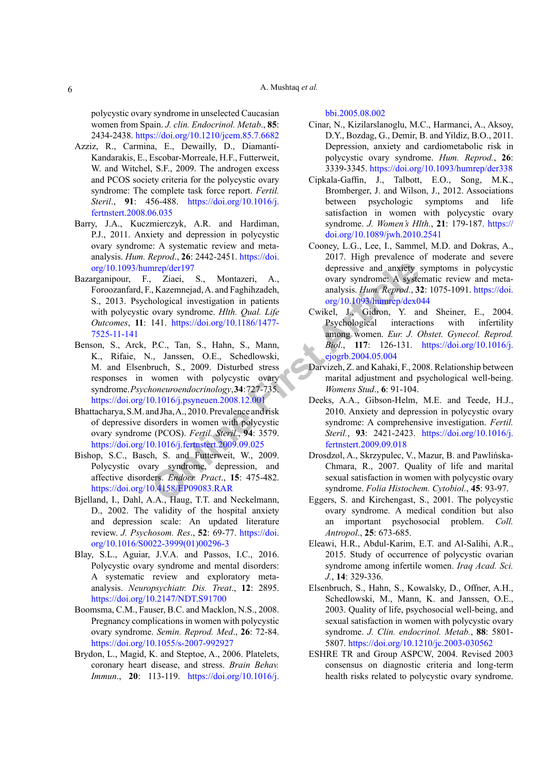#### A. Mushtaq *et al.*

polycystic ovary syndrome in unselected Caucasian women from Spain. *J. clin. Endocrinol. Metab*., **85**: 2434-2438.<https://doi.org/10.1210/jcem.85.7.6682>

- <span id="page-5-0"></span>Azziz, R., Carmina, E., Dewailly, D., Diamanti-Kandarakis, E., Escobar-Morreale, H.F., Futterweit, W. and Witchel, S.F., 2009. The androgen excess and PCOS society criteria for the polycystic ovary syndrome: The complete task force report. *Fertil. Steril*., **91**: 456-488. [https://doi.org/10.1016/j.](https://doi.org/10.1016/j.fertnstert.2008.06.035) [fertnstert.2008.06.035](https://doi.org/10.1016/j.fertnstert.2008.06.035)
- <span id="page-5-15"></span>Barry, J.A., Kuczmierczyk, A.R. and Hardiman, P.J., 2011. Anxiety and depression in polycystic ovary syndrome: A systematic review and metaanalysis. *Hum. Reprod*., **26**: 2442-2451. [https://doi.](https://doi.org/10.1093/humrep/der197) [org/10.1093/humrep/der197](https://doi.org/10.1093/humrep/der197)
- <span id="page-5-13"></span><span id="page-5-7"></span>Bazarganipour, F., Ziaei, S., Montazeri, A., Foroozanfard, F., Kazemnejad, A. and Faghihzadeh, S., 2013. Psychological investigation in patients with polycystic ovary syndrome. *Hlth. Qual. Life Outcomes*, **11**: 141. https://doi.org/10.1186/1477- [7525-11-141](https://doi.org/10.1186/1477-7525-11-141)
- The proposition in painting and anxiety<br>
intep/der197 depressive and anxiety<br>
intep/der197 depressive and anxiety<br>
integral intestigation in pair and the consists *Hum Reprod*, 3<br>
consignation intention in pair and the con Benson, S., Arck, P.C., Tan, S., Hahn, S., Mann, K., Rifaie, N., Janssen, O.E., Schedlowski, M. and Elsenbruch, S., 2009. Disturbed stress responses in women with polycystic ovary syndrome.*Psychoneuroendocrinology*,**34**: 727-735. <https://doi.org/10.1016/j.psyneuen.2008.12.001>
- <span id="page-5-6"></span>Bhattacharya, S.M. and Jha, A., 2010. Prevalence and risk of depressive disorders in women with polycystic ovary syndrome (PCOS). *Fertil. Steril*., **94**: 3579. <https://doi.org/10.1016/j.fertnstert.2009.09.025>
- <span id="page-5-9"></span>Bishop, S.C., Basch, S. and Futterweit, W., 2009. Polycystic ovary syndrome, depression, and affective disorders. *Endocr. Pract*., **15**: 475-482. <https://doi.org/10.4158/EP09083.RAR>
- <span id="page-5-12"></span>Bjelland, I., Dahl, A.A., Haug, T.T. and Neckelmann, D., 2002. The validity of the hospital anxiety and depression scale: An updated literature review. *J. Psychosom. Res*., **52**: 69-77. [https://doi.](https://doi.org/10.1016/S0022-3999(01)00296-3) [org/10.1016/S0022-3999\(01\)00296-3](https://doi.org/10.1016/S0022-3999(01)00296-3)
- <span id="page-5-16"></span>Blay, S.L., Aguiar, J.V.A. and Passos, I.C., 2016. Polycystic ovary syndrome and mental disorders: A systematic review and exploratory metaanalysis. *Neuropsychiatr. Dis. Treat*., **12**: 2895. <https://doi.org/10.2147/NDT.S91700>
- <span id="page-5-1"></span>Boomsma, C.M., Fauser, B.C. and Macklon, N.S., 2008. Pregnancy complications in women with polycystic ovary syndrome. *Semin. Reprod. Med*., **26**: 72-84. <https://doi.org/10.1055/s-2007-992927>
- <span id="page-5-5"></span>Brydon, L., Magid, K. and Steptoe, A., 2006. Platelets, coronary heart disease, and stress. *Brain Behav. Immun*., **20**: 113-119. [https://doi.org/10.1016/j.](https://doi.org/10.1016/j.bbi.2005.08.002)

[bbi.2005.08.002](https://doi.org/10.1016/j.bbi.2005.08.002)

- <span id="page-5-14"></span>Cinar, N., Kizilarslanoglu, M.C., Harmanci, A., Aksoy, D.Y., Bozdag, G., Demir, B. and Yildiz, B.O., 2011. Depression, anxiety and cardiometabolic risk in polycystic ovary syndrome. *Hum. Reprod.*, **26**: 3339-3345. <https://doi.org/10.1093/humrep/der338>
- <span id="page-5-2"></span>Cipkala-Gaffin, J., Talbott, E.O., Song, M.K., Bromberger, J. and Wilson, J., 2012. Associations between psychologic symptoms and life satisfaction in women with polycystic ovary syndrome. *J. Women's Hlth.*, **21**: 179-187. [https://](https://doi.org/10.1089/jwh.2010.2541) [doi.org/10.1089/jwh.2010.2541](https://doi.org/10.1089/jwh.2010.2541)
- <span id="page-5-17"></span>Cooney, L.G., Lee, I., Sammel, M.D. and Dokras, A., 2017. High prevalence of moderate and severe depressive and anxiety symptoms in polycystic ovary syndrome: A systematic review and metaanalysis. *Hum. Reprod.*, **32**: 1075-1091. [https://doi.](https://doi.org/10.1093/humrep/dex044) org/10.1093/humrep/dex044
- <span id="page-5-18"></span>Cwikel, J., Gidron, Y. and Sheiner, E., 2004. Psychological interactions with infertility among women. *Eur. J. Obstet. Gynecol. Reprod. Biol*., **117**: 126-131. [https://doi.org/10.1016/j.](https://doi.org/10.1016/j.ejogrb.2004.05.004) ejogrb.2004.05.004
- <span id="page-5-4"></span>Darvizeh, Z. and Kahaki, F., 2008. Relationship between marital adjustment and psychological well-being. *Womens Stud*., **6**: 91-104.
- <span id="page-5-3"></span>Deeks, A.A., Gibson-Helm, M.E. and Teede, H.J., 2010. Anxiety and depression in polycystic ovary syndrome: A comprehensive investigation. *Fertil. Steril.*, **93**: 2421-2423. [https://doi.org/10.1016/j.](https://doi.org/10.1016/j.fertnstert.2009.09.018) fertnstert.2009.09.018
- Drosdzol, A., Skrzypulec, V., Mazur, B. and Pawlińska-Chmara, R., 2007. Quality of life and marital sexual satisfaction in women with polycystic ovary syndrome. *Folia Histochem. Cytobiol.*, **45**: 93-97.
- <span id="page-5-8"></span>Eggers, S. and Kirchengast, S., 2001. The polycystic ovary syndrome. A medical condition but also an important psychosocial problem. *Coll. Antropol*., **25**: 673-685.
- <span id="page-5-19"></span>Eleawi, H.R., Abdul-Karim, E.T. and Al-Salihi, A.R., 2015. Study of occurrence of polycystic ovarian syndrome among infertile women. *Iraq Acad. Sci. J.*, **14**: 329-336.
- <span id="page-5-10"></span>Elsenbruch, S., Hahn, S., Kowalsky, D., Offner, A.H., Schedlowski, M., Mann, K. and Janssen, O.E., 2003. Quality of life, psychosocial well-being, and sexual satisfaction in women with polycystic ovary syndrome. *J. Clin. endocrinol. Metab.*, **88**: 5801- 5807.<https://doi.org/10.1210/jc.2003-030562>
- <span id="page-5-11"></span>ESHRE TR and Group ASPCW, 2004. Revised 2003 consensus on diagnostic criteria and long-term health risks related to polycystic ovary syndrome.

6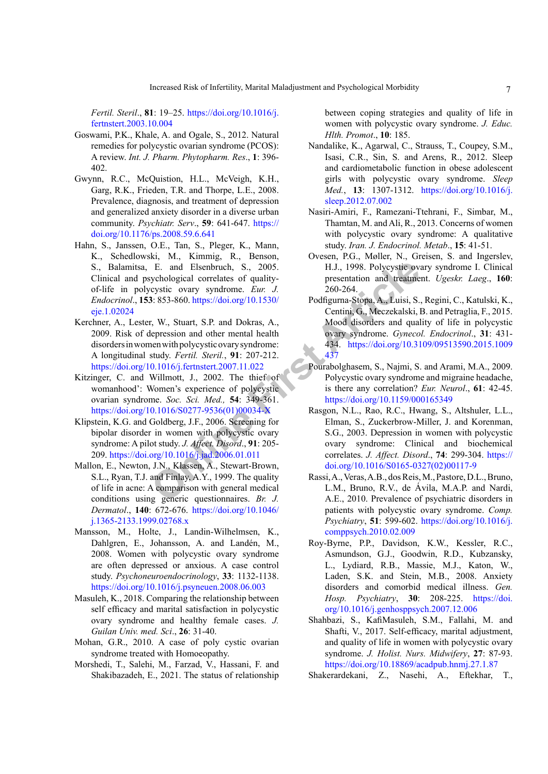*Fertil. Steril*., **81**: 19–25. [https://doi.org/10.1016/j.](https://doi.org/10.1016/j.fertnstert.2003.10.004) [fertnstert.2003.10.004](https://doi.org/10.1016/j.fertnstert.2003.10.004)

- <span id="page-6-2"></span>Goswami, P.K., Khale, A. and Ogale, S., 2012. Natural remedies for polycystic ovarian syndrome (PCOS): A review. *Int. J. Pharm. Phytopharm. Res*., **1**: 396- 402.
- <span id="page-6-5"></span>Gwynn, R.C., McQuistion, H.L., McVeigh, K.H., Garg, R.K., Frieden, T.R. and Thorpe, L.E., 2008. Prevalence, diagnosis, and treatment of depression and generalized anxiety disorder in a diverse urban community. *Psychiatr. Serv*., **59**: 641-647. [https://](https://doi.org/10.1176/ps.2008.59.6.641) [doi.org/10.1176/ps.2008.59.6.641](https://doi.org/10.1176/ps.2008.59.6.641)
- <span id="page-6-4"></span>E. and Elsenbruch, S., 2005.<br> **Comparison Configure Election** and treatme cystic ovary syndrome. *Eur. J.* 260-264.<br>
3: 853-860. https://doi.org/10.1530/<br> **Online Firse Firse A**. Continuity Consignma-Stopa, A., Luisi, S.<br> Hahn, S., Janssen, O.E., Tan, S., Pleger, K., Mann, K., Schedlowski, M., Kimmig, R., Benson, S., Balamitsa, E. and Elsenbruch, S., 2005. Clinical and psychological correlates of qualityof-life in polycystic ovary syndrome. *Eur. J. Endocrinol*., **153**: 853-860. https://doi.org/10.1530/ [eje.1.02024](https://doi.org/10.1530/eje.1.02024)
- <span id="page-6-6"></span>Kerchner, A., Lester, W., Stuart, S.P. and Dokras, A., 2009. Risk of depression and other mental health disorders in women with polycystic ovary syndrome: A longitudinal study. *Fertil. Steril.*, **91**: 207-212. <https://doi.org/10.1016/j.fertnstert.2007.11.022>
- <span id="page-6-9"></span>Kitzinger, C. and Willmott, J., 2002. The thief of womanhood': Women's experience of polycystic ovarian syndrome. *Soc. Sci. Med.,* **54**: 349-361. [https://doi.org/10.1016/S0277-9536\(01\)00034-X](https://doi.org/10.1016/S0277-9536(01)00034-X)
- <span id="page-6-11"></span>Klipstein, K.G. and Goldberg, J.F., 2006. Screening for bipolar disorder in women with polycystic ovary syndrome: A pilot study. *J. Affect. Disord*., **91**: 205- 209.<https://doi.org/10.1016/j.jad.2006.01.011>
- <span id="page-6-12"></span>Mallon, E., Newton, J.N., Klassen, A., Stewart-Brown, S.L., Ryan, T.J. and Finlay, A.Y., 1999. The quality of life in acne: A comparison with general medical conditions using generic questionnaires. *Br. J. Dermatol*., **140**: 672-676. [https://doi.org/10.1046/](https://doi.org/10.1046/j.1365-2133.1999.02768.x) [j.1365-2133.1999.02768.x](https://doi.org/10.1046/j.1365-2133.1999.02768.x)
- Mansson, M., Holte, J., Landin-Wilhelmsen, K., Dahlgren, E., Johansson, A. and Landén, M., 2008. Women with polycystic ovary syndrome are often depressed or anxious. A case control study. *Psychoneuroendocrinology*, **33**: 1132-1138. <https://doi.org/10.1016/j.psyneuen.2008.06.003>
- <span id="page-6-3"></span>Masuleh, K., 2018. Comparing the relationship between self efficacy and marital satisfaction in polycystic ovary syndrome and healthy female cases. *J. Guilan Univ. med. Sci*., **26**: 31-40.
- <span id="page-6-1"></span>Mohan, G.R., 2010. A case of poly cystic ovarian syndrome treated with Homoeopathy.
- <span id="page-6-8"></span>Morshedi, T., Salehi, M., Farzad, V., Hassani, F. and Shakibazadeh, E., 2021. The status of relationship

between coping strategies and quality of life in women with polycystic ovary syndrome. *J. Educ. Hlth. Promot*., **10**: 185.

- <span id="page-6-13"></span>Nandalike, K., Agarwal, C., Strauss, T., Coupey, S.M., Isasi, C.R., Sin, S. and Arens, R., 2012. Sleep and cardiometabolic function in obese adolescent girls with polycystic ovary syndrome. *Sleep Med.*, **13**: 1307-1312. [https://doi.org/10.1016/j.](https://doi.org/10.1016/j.sleep.2012.07.002) [sleep.2012.07.002](https://doi.org/10.1016/j.sleep.2012.07.002)
- <span id="page-6-0"></span>Nasiri-Amiri, F., Ramezani-Ttehrani, F., Simbar, M., Thamtan, M. and Ali, R., 2013. Concerns of women with polycystic ovary syndrome: A qualitative study. *Iran. J. Endocrinol. Metab*., **15**: 41-51.
- Ovesen, P.G., Møller, N., Greisen, S. and Ingerslev, H.J., 1998. Polycystic ovary syndrome I. Clinical presentation and treatment. *Ugeskr. Laeg*., **160**: 260-264.
- <span id="page-6-7"></span>Podfigurna-Stopa, A., Luisi, S., Regini, C., Katulski, K., Centini, G., Meczekalski, B. and Petraglia, F., 2015. Mood disorders and quality of life in polycystic ovary syndrome. *Gynecol. Endocrinol*., **31**: 431- 434. [https://doi.org/10.3109/09513590.2015.1009](https://doi.org/10.3109/09513590.2015.1009437) 437
- <span id="page-6-14"></span>Pourabolghasem, S., Najmi, S. and Arami, M.A., 2009. Polycystic ovary syndrome and migraine headache, is there any correlation? *Eur. Neurol*., **61**: 42-45. <https://doi.org/10.1159/000165349>
- <span id="page-6-10"></span>Rasgon, N.L., Rao, R.C., Hwang, S., Altshuler, L.L., Elman, S., Zuckerbrow-Miller, J. and Korenman, S.G., 2003. Depression in women with polycystic ovary syndrome: Clinical and biochemical correlates. *J. Affect. Disord*., **74**: 299-304. [https://](https://doi.org/10.1016/S0165-0327(02)00117-9) [doi.org/10.1016/S0165-0327\(02\)00117-9](https://doi.org/10.1016/S0165-0327(02)00117-9)
- Rassi, A., Veras, A.B., dos Reis, M., Pastore, D.L., Bruno, L.M., Bruno, R.V., de Ávila, M.A.P. and Nardi, A.E., 2010. Prevalence of psychiatric disorders in patients with polycystic ovary syndrome. *Comp. Psychiatry*, **51**: 599-602. [https://doi.org/10.1016/j.](https://doi.org/10.1016/j.comppsych.2010.02.009) [comppsych.2010.02.009](https://doi.org/10.1016/j.comppsych.2010.02.009)
- Roy-Byrne, P.P., Davidson, K.W., Kessler, R.C., Asmundson, G.J., Goodwin, R.D., Kubzansky, L., Lydiard, R.B., Massie, M.J., Katon, W., Laden, S.K. and Stein, M.B., 2008. Anxiety disorders and comorbid medical illness. *Gen. Hosp. Psychiatry*, **30**: 208-225. [https://doi.](https://doi.org/10.1016/j.genhosppsych.2007.12.006) [org/10.1016/j.genhosppsych.2007.12.006](https://doi.org/10.1016/j.genhosppsych.2007.12.006)
- Shahbazi, S., KafiMasuleh, S.M., Fallahi, M. and Shafti, V., 2017. Self-efficacy, marital adjustment, and quality of life in women with polycystic ovary syndrome. *J. Holist. Nurs. Midwifery*, **27**: 87-93. <https://doi.org/10.18869/acadpub.hnmj.27.1.87>
- Shakerardekani, Z., Nasehi, A., Eftekhar, T.,